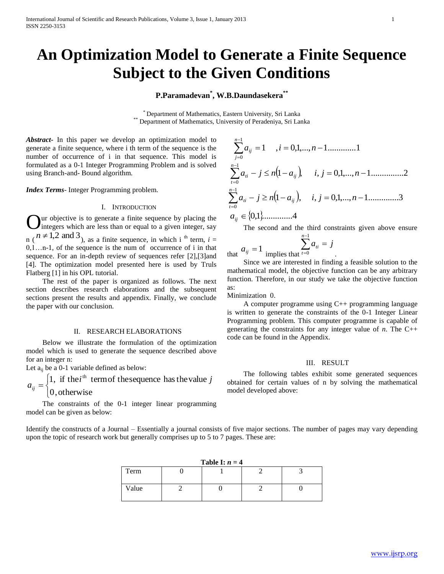# **An Optimization Model to Generate a Finite Sequence Subject to the Given Conditions**

**P.Paramadevan\* , W.B.Daundasekera\*\***

\* Department of Mathematics, Eastern University, Sri Lanka \*\* Department of Mathematics, University of Peradeniya, Sri Lanka

*Abstract***-** In this paper we develop an optimization model to generate a finite sequence, where i th term of the sequence is the number of occurrence of i in that sequence. This model is formulated as a 0-1 Integer Programming Problem and is solved using Branch-and- Bound algorithm.

*Index Terms*- Integer Programming problem.

## I. INTRODUCTION

ur objective is to generate a finite sequence by placing the integers which are less than or equal to a given integer, say  $n (n \neq 1,2 \text{ and } 3)$ , as a finite sequence, in which i <sup>th</sup> term, *i* =  $0,1...$ n-1, of the sequence is the num of occurrence of i in that sequence. For an in-depth review of sequences refer [2],[3]and [4]. The optimization model presented here is used by Truls Flatberg [1] in his OPL tutorial. O

 The rest of the paper is organized as follows. The next section describes research elaborations and the subsequent sections present the results and appendix. Finally, we conclude the paper with our conclusion.

## II. RESEARCH ELABORATIONS

 Below we illustrate the formulation of the optimization model which is used to generate the sequence described above for an integer n:

Let  $a_{ii}$  be a 0-1 variable defined as below:

 $\overline{\mathcal{L}}$ ⇃  $\int$  $=$ 0,otherwise 1, if the  $i^{\text{th}}$  term of the sequence has the value  $j$ *aij*

 The constraints of the 0-1 integer linear programming model can be given as below:

$$
\sum_{j=0}^{n-1} a_{ij} = 1, \quad j = 0, 1, \dots, n-1 \dots \dots \dots 1
$$
  

$$
\sum_{i=0}^{n-1} a_{ii} - j \le n \Big( 1 - a_{ij} \Big), \quad i, j = 0, 1, \dots, n-1 \dots \dots \dots \dots 2
$$
  

$$
\sum_{i=0}^{n-1} a_{ii} - j \ge n \Big( 1 - a_{ij} \Big), \quad i, j = 0, 1, \dots, n-1 \dots \dots \dots \dots 3
$$
  

$$
a_{ij} \in \Big\{0, 1\Big\} \dots \dots \dots \dots 4
$$

The second and the third constraints given above ensure

$$
\sum_{\text{implies that}}^{n-1} a_{ii} = j
$$

 Since we are interested in finding a feasible solution to the mathematical model, the objective function can be any arbitrary function. Therefore, in our study we take the objective function as:

Minimization 0.

that  $a_{ij} = 1$ 

 A computer programme using C++ programming language is written to generate the constraints of the 0-1 Integer Linear Programming problem. This computer programme is capable of generating the constraints for any integer value of *n*. The C++ code can be found in the Appendix.

# III. RESULT

 The following tables exhibit some generated sequences obtained for certain values of n by solving the mathematical model developed above:

Identify the constructs of a Journal – Essentially a journal consists of five major sections. The number of pages may vary depending upon the topic of research work but generally comprises up to 5 to 7 pages. These are:

| Table I: $n = 4$ |  |  |  |  |  |  |  |  |  |  |  |  |  |
|------------------|--|--|--|--|--|--|--|--|--|--|--|--|--|
| Term             |  |  |  |  |  |  |  |  |  |  |  |  |  |
| Value            |  |  |  |  |  |  |  |  |  |  |  |  |  |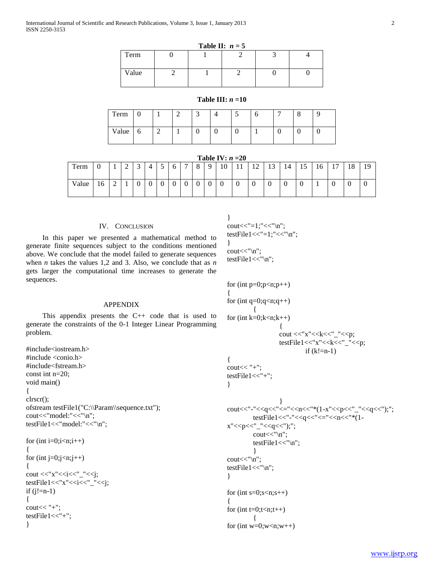| Table II: $n = 5$ |  |  |  |  |  |  |  |  |  |  |  |  |
|-------------------|--|--|--|--|--|--|--|--|--|--|--|--|
| Term              |  |  |  |  |  |  |  |  |  |  |  |  |
| Value             |  |  |  |  |  |  |  |  |  |  |  |  |

# **Table III:** *n* **=10**

| Term  | v           |   | c | - |   | ້ | U | - | O<br>O |  |
|-------|-------------|---|---|---|---|---|---|---|--------|--|
| Value | $\mathbf b$ | ∼ |   |   | υ | U |   | ν | U      |  |

| Table IV: $n=20$ |  |  |
|------------------|--|--|
|------------------|--|--|

| Term  | υ  | л. | $\sqrt{2}$<br>∸ | $\sqrt{2}$<br>◡ | ↵           | ت             | O              | $\overline{ }$ | $\Omega$<br>$\circ$ | $\Omega$    | 10 | - 1<br>$\mathbf{1}$ | 1 <sub>0</sub><br>$\overline{1}$ | $\sim$<br>⊥⊃ | 14 | $\overline{\phantom{0}}$<br>1J | 16  | 1 <sub>7</sub> | 1 O<br>10       | 10<br>., |
|-------|----|----|-----------------|-----------------|-------------|---------------|----------------|----------------|---------------------|-------------|----|---------------------|----------------------------------|--------------|----|--------------------------------|-----|----------------|-----------------|----------|
| Value | 16 | ∸  |                 | ν               | $\sim$<br>ັ | $\Gamma$<br>ν | $\overline{0}$ | $\sim$<br>ν    | v                   | $\sim$<br>v | v  | υ                   | $\sim$<br>υ                      | ິ            | v  | $\sim$<br>∿                    | . . | v              | $\sqrt{2}$<br>ν | ν        |

# IV. CONCLUSION

 In this paper we presented a mathematical method to generate finite sequences subject to the conditions mentioned above. We conclude that the model failed to generate sequences when *n* takes the values 1,2 and 3. Also, we conclude that as *n* gets larger the computational time increases to generate the sequences.

## APPENDIX

 This appendix presents the C++ code that is used to generate the constraints of the 0-1 Integer Linear Programming problem.

```
#include<iostream.h>
#include <conio.h>
#include<fstream.h>
const int n=20;
void main()
{
clrscr();
ofstream testFile1("C:\\Param\\sequence.txt");
cout<<"model:"<<"\n";
testFile1<<"model:"<<"\n";
for (int i=0;i<n;i++)
{
for (int j=0;j<n;j++)
{
cout <<"x"<<<i<<<'_"<<i;
```

```
testFile1<<"x"<<i<<'_"<<i;
if (i!=n-1){
\text{cout}<< "+";
testFile1<<"+";
}
```

```
}
cout << "=1; " << "\times"\n";
testFile1<<"=1;"<<"\n";
}
cout<<"\n";
testFile1<<"\n";
```

```
for (int p=0; p< n; p++)
{
for (int q=0; q< n; q++){ 
for (int k=0;k<n;k++)
                  {
                  cout <<"x" <<<<<<<<<<<<<<<<<<<<<
                  testFile1<<"x"<<k<<<"_"<<p;
                          if (k!=n-1){
\text{cout}<< "+";
testFile1<<"+";
}
                  }
cout<<"-"<<q<<"<="<<n<<"*(1-x"<<p<<"_"<<q<<");";
        testFile1<<"-"<<q<<"<="<<n<<"*(1-
x"<<p<<"_"<<<q<<");";
         cout<<"\n";
         testFile1<<"\n";
         }
cout<<"\n";
testFile1<<"\n";
}
for (int s=0; s< n; s++)
{
for (int t=0;t=n;t++)
         { 
for (int w=0; w<n; w++)
```